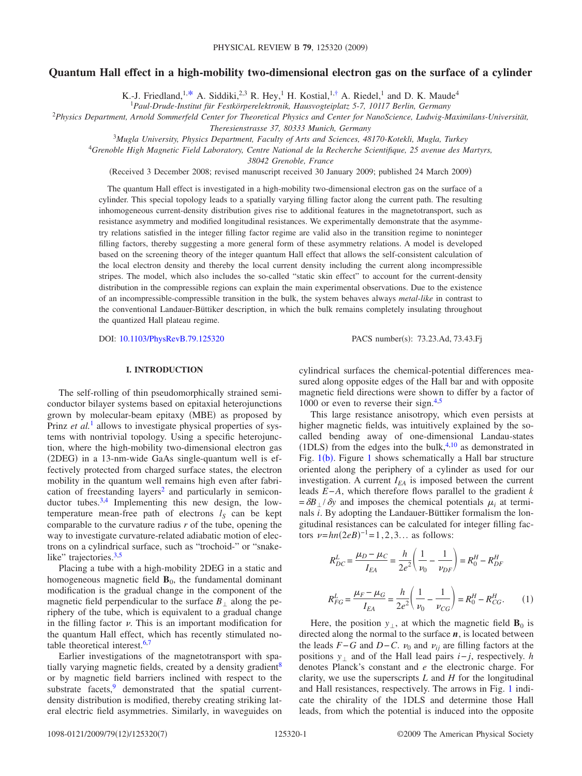# **Quantum Hall effect in a high-mobility two-dimensional electron gas on the surface of a cylinder**

K.-J. Friedland,<sup>1[,\\*](#page-6-0)</sup> A. Siddiki,<sup>2,3</sup> R. Hey,<sup>1</sup> H. Kostial,<sup>1[,†](#page-6-1)</sup> A. Riedel,<sup>1</sup> and D. K. Maude<sup>4</sup>

1 *Paul-Drude-Institut für Festkörperelektronik, Hausvogteiplatz 5-7, 10117 Berlin, Germany*

2 *Physics Department, Arnold Sommerfeld Center for Theoretical Physics and Center for NanoScience, Ludwig-Maximilans-Universität,*

*Theresienstrasse 37, 80333 Munich, Germany*

<sup>3</sup>*Mugla University, Physics Department, Faculty of Arts and Sciences, 48170-Kotekli, Mugla, Turkey*

4 *Grenoble High Magnetic Field Laboratory, Centre National de la Recherche Scientifique, 25 avenue des Martyrs,*

*38042 Grenoble, France*

(Received 3 December 2008; revised manuscript received 30 January 2009; published 24 March 2009)

The quantum Hall effect is investigated in a high-mobility two-dimensional electron gas on the surface of a cylinder. This special topology leads to a spatially varying filling factor along the current path. The resulting inhomogeneous current-density distribution gives rise to additional features in the magnetotransport, such as resistance asymmetry and modified longitudinal resistances. We experimentally demonstrate that the asymmetry relations satisfied in the integer filling factor regime are valid also in the transition regime to noninteger filling factors, thereby suggesting a more general form of these asymmetry relations. A model is developed based on the screening theory of the integer quantum Hall effect that allows the self-consistent calculation of the local electron density and thereby the local current density including the current along incompressible stripes. The model, which also includes the so-called "static skin effect" to account for the current-density distribution in the compressible regions can explain the main experimental observations. Due to the existence of an incompressible-compressible transition in the bulk, the system behaves always *metal-like* in contrast to the conventional Landauer-Büttiker description, in which the bulk remains completely insulating throughout the quantized Hall plateau regime.

DOI: [10.1103/PhysRevB.79.125320](http://dx.doi.org/10.1103/PhysRevB.79.125320)

PACS number(s): 73.23.Ad, 73.43.Fj

# **I. INTRODUCTION**

The self-rolling of thin pseudomorphically strained semiconductor bilayer systems based on epitaxial heterojunctions grown by molecular-beam epitaxy (MBE) as proposed by Prinz *et al.*<sup>[1](#page-6-2)</sup> allows to investigate physical properties of systems with nontrivial topology. Using a specific heterojunction, where the high-mobility two-dimensional electron gas (2DEG) in a 13-nm-wide GaAs single-quantum well is effectively protected from charged surface states, the electron mobility in the quantum well remains high even after fabrication of freestanding layers<sup>2</sup> and particularly in semicon-ductor tubes.<sup>3,[4](#page-6-5)</sup> Implementing this new design, the lowtemperature mean-free path of electrons  $l_S$  can be kept comparable to the curvature radius *r* of the tube, opening the way to investigate curvature-related adiabatic motion of electrons on a cylindrical surface, such as "trochoid-" or "snake-like" trajectories.<sup>3,[5](#page-6-6)</sup>

Placing a tube with a high-mobility 2DEG in a static and homogeneous magnetic field  $\mathbf{B}_0$ , the fundamental dominant modification is the gradual change in the component of the magnetic field perpendicular to the surface  $B_1$  along the periphery of the tube, which is equivalent to a gradual change in the filling factor  $\nu$ . This is an important modification for the quantum Hall effect, which has recently stimulated notable theoretical interest[.6,](#page-6-7)[7](#page-6-8)

Earlier investigations of the magnetotransport with spatially varying magnetic fields, created by a density gradient<sup>8</sup> or by magnetic field barriers inclined with respect to the substrate facets, $9$  demonstrated that the spatial currentdensity distribution is modified, thereby creating striking lateral electric field asymmetries. Similarly, in waveguides on cylindrical surfaces the chemical-potential differences measured along opposite edges of the Hall bar and with opposite magnetic field directions were shown to differ by a factor of 1000 or even to reverse their sign. $4,5$  $4,5$ 

This large resistance anisotropy, which even persists at higher magnetic fields, was intuitively explained by the socalled bending away of one-dimensional Landau-states (1DLS) from the edges into the bulk, $4,10$  $4,10$  as demonstrated in Fig. [1](#page-1-0)(b). Figure 1 shows schematically a Hall bar structure oriented along the periphery of a cylinder as used for our investigation. A current  $I_{EA}$  is imposed between the current leads *E*−*A*, which therefore flows parallel to the gradient *k*  $=\delta B_{\perp}/\delta y$  and imposes the chemical potentials  $\mu_i$  at terminals *i*. By adopting the Landauer-Büttiker formalism the longitudinal resistances can be calculated for integer filling factors  $\nu = hn(2eB)^{-1} = 1, 2, 3...$  as follows:

<span id="page-0-0"></span>
$$
R_{DC}^{L} = \frac{\mu_{D} - \mu_{C}}{I_{EA}} = \frac{h}{2e^{2}} \left( \frac{1}{\nu_{0}} - \frac{1}{\nu_{DF}} \right) = R_{0}^{H} - R_{DF}^{H}
$$

$$
R_{FG}^{L} = \frac{\mu_{F} - \mu_{G}}{I_{EA}} = \frac{h}{2e^{2}} \left( \frac{1}{\nu_{0}} - \frac{1}{\nu_{CG}} \right) = R_{0}^{H} - R_{CG}^{H}.
$$
 (1)

Here, the position  $y_1$ , at which the magnetic field  $\mathbf{B}_0$  is directed along the normal to the surface  $n$ , is located between the leads  $F-G$  and  $D-C$ .  $v_0$  and  $v_{ij}$  are filling factors at the positions  $y_1$  and of the Hall lead pairs  $i - j$ , respectively. *h* denotes Planck's constant and *e* the electronic charge. For clarity, we use the superscripts *L* and *H* for the longitudinal and Hall resistances, respectively. The arrows in Fig. [1](#page-1-0) indicate the chirality of the 1DLS and determine those Hall leads, from which the potential is induced into the opposite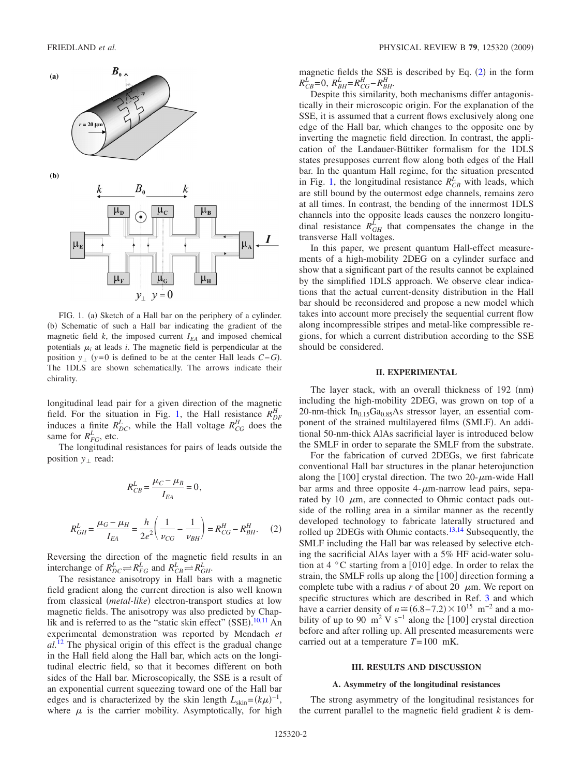<span id="page-1-0"></span>

FIG. 1. (a) Sketch of a Hall bar on the periphery of a cylinder. (b) Schematic of such a Hall bar indicating the gradient of the magnetic field  $k$ , the imposed current  $I_{EA}$  and imposed chemical potentials  $\mu_i$  at leads *i*. The magnetic field is perpendicular at the position  $y_{\perp}$  ( $y=0$  is defined to be at the center Hall leads *C*−*G*). The 1DLS are shown schematically. The arrows indicate their chirality.

longitudinal lead pair for a given direction of the magnetic field. For the situation in Fig. [1,](#page-1-0) the Hall resistance  $R_{DF}^H$ induces a finite  $R_{DC}^L$ , while the Hall voltage  $R_{CG}^H$  does the same for  $R_{FG}^L$ , etc.

The longitudinal resistances for pairs of leads outside the position  $y_+$  read:

$$
R_{CB}^L = \frac{\mu_C - \mu_B}{I_{EA}} = 0,
$$

<span id="page-1-1"></span>
$$
R_{GH}^L = \frac{\mu_G - \mu_H}{I_{EA}} = \frac{h}{2e^2} \left( \frac{1}{\nu_{CG}} - \frac{1}{\nu_{BH}} \right) = R_{CG}^H - R_{BH}^H. \tag{2}
$$

Reversing the direction of the magnetic field results in an interchange of  $R_{DC}^L \rightleftharpoons R_{FG}^L$  and  $R_{CB}^L \rightleftharpoons R_{GH}^L$ .

The resistance anisotropy in Hall bars with a magnetic field gradient along the current direction is also well known from classical (metal-like) electron-transport studies at low magnetic fields. The anisotropy was also predicted by Chap-lik and is referred to as the "static skin effect" (SSE).<sup>[10,](#page-6-11)[11](#page-6-12)</sup> An experimental demonstration was reported by Mendach *et al.*[12](#page-6-13) The physical origin of this effect is the gradual change in the Hall field along the Hall bar, which acts on the longitudinal electric field, so that it becomes different on both sides of the Hall bar. Microscopically, the SSE is a result of an exponential current squeezing toward one of the Hall bar edges and is characterized by the skin length  $L_{\text{skin}} = (k\mu)^{-1}$ , where  $\mu$  is the carrier mobility. Asymptotically, for high magnetic fields the SSE is described by Eq.  $(2)$  $(2)$  $(2)$  in the form  $R_{CB}^L = 0$ ,  $R_{BH}^L = R_{CG}^H - R_{BH}^H$ .

Despite this similarity, both mechanisms differ antagonistically in their microscopic origin. For the explanation of the SSE, it is assumed that a current flows exclusively along one edge of the Hall bar, which changes to the opposite one by inverting the magnetic field direction. In contrast, the application of the Landauer-Büttiker formalism for the 1DLS states presupposes current flow along both edges of the Hall bar. In the quantum Hall regime, for the situation presented in Fig. [1,](#page-1-0) the longitudinal resistance  $R_{CB}^L$  with leads, which are still bound by the outermost edge channels, remains zero at all times. In contrast, the bending of the innermost 1DLS channels into the opposite leads causes the nonzero longitudinal resistance  $R_{GH}^L$  that compensates the change in the transverse Hall voltages.

In this paper, we present quantum Hall-effect measurements of a high-mobility 2DEG on a cylinder surface and show that a significant part of the results cannot be explained by the simplified 1DLS approach. We observe clear indications that the actual current-density distribution in the Hall bar should be reconsidered and propose a new model which takes into account more precisely the sequential current flow along incompressible stripes and metal-like compressible regions, for which a current distribution according to the SSE should be considered.

# **II. EXPERIMENTAL**

The layer stack, with an overall thickness of 192 (nm) including the high-mobility 2DEG, was grown on top of a 20-nm-thick  $In<sub>0.15</sub>Ga<sub>0.85</sub>As stressor layer, an essential com$ ponent of the strained multilayered films (SMLF). An additional 50-nm-thick AlAs sacrificial layer is introduced below the SMLF in order to separate the SMLF from the substrate.

For the fabrication of curved 2DEGs, we first fabricate conventional Hall bar structures in the planar heterojunction along the [100] crystal direction. The two 20- $\mu$ m-wide Hall bar arms and three opposite  $4-\mu$ m-narrow lead pairs, separated by 10  $\mu$ m, are connected to Ohmic contact pads outside of the rolling area in a similar manner as the recently developed technology to fabricate laterally structured and rolled up 2DEGs with Ohmic contacts.<sup>13[,14](#page-6-15)</sup> Subsequently, the SMLF including the Hall bar was released by selective etching the sacrificial AlAs layer with a 5% HF acid-water solution at 4  $\degree$ C starting from a [010] edge. In order to relax the strain, the SMLF rolls up along the [100] direction forming a complete tube with a radius  $r$  of about 20  $\mu$ m. We report on specific structures which are described in Ref. [3](#page-6-4) and which have a carrier density of  $n \approx (6.8-7.2) \times 10^{15}$  m<sup>-2</sup> and a mobility of up to 90 m<sup>2</sup> V s<sup>-1</sup> along the [100] crystal direction before and after rolling up. All presented measurements were carried out at a temperature *T*=100 mK.

#### **III. RESULTS AND DISCUSSION**

#### **A. Asymmetry of the longitudinal resistances**

The strong asymmetry of the longitudinal resistances for the current parallel to the magnetic field gradient *k* is dem-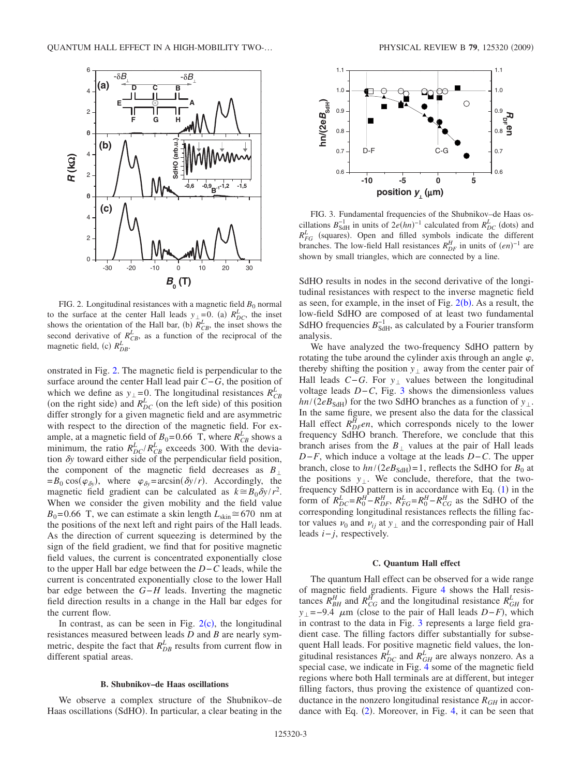<span id="page-2-0"></span>

FIG. 2. Longitudinal resistances with a magnetic field  $B_0$  normal to the surface at the center Hall leads  $y_{\perp} = 0$ . (a)  $R_{DC}^L$ , the inset shows the orientation of the Hall bar, (b)  $R_{CB}^L$ , the inset shows the second derivative of  $R_{CB}^L$ , as a function of the reciprocal of the magnetic field, (c)  $R_{DB}^L$ .

onstrated in Fig. [2.](#page-2-0) The magnetic field is perpendicular to the surface around the center Hall lead pair *C*−*G*, the position of which we define as  $y_{\perp} = 0$ . The longitudinal resistances  $R_{CB}^L$ (on the right side) and  $R_{DC}^L$  (on the left side) of this position differ strongly for a given magnetic field and are asymmetric with respect to the direction of the magnetic field. For example, at a magnetic field of  $B_0$ =0.66 T, where  $R_{CB}^L$  shows a minimum, the ratio  $R_{DC}^L/R_{CB}^L$  exceeds 300. With the deviation  $\delta y$  toward either side of the perpendicular field position, the component of the magnetic field decreases as  $B_{\perp}$  $= B_0 \cos(\varphi_{\delta y})$ , where  $\varphi_{\delta y} = \arcsin(\delta y/r)$ . Accordingly, the magnetic field gradient can be calculated as  $k \approx B_0 \delta y / r^2$ . When we consider the given mobility and the field value  $B_0$ =0.66 T, we can estimate a skin length  $L_{\text{skin}} \approx 670$  nm at the positions of the next left and right pairs of the Hall leads. As the direction of current squeezing is determined by the sign of the field gradient, we find that for positive magnetic field values, the current is concentrated exponentially close to the upper Hall bar edge between the *D*−*C* leads, while the current is concentrated exponentially close to the lower Hall bar edge between the *G*−*H* leads. Inverting the magnetic field direction results in a change in the Hall bar edges for the current flow.

In contrast, as can be seen in Fig.  $2(c)$  $2(c)$ , the longitudinal resistances measured between leads *D* and *B* are nearly symmetric, despite the fact that  $R_{DB}^L$  results from current flow in different spatial areas.

# **B. Shubnikov–de Haas oscillations**

We observe a complex structure of the Shubnikov–de Haas oscillations (SdHO). In particular, a clear beating in the

<span id="page-2-1"></span>

FIG. 3. Fundamental frequencies of the Shubnikov–de Haas oscillations  $B_{\text{SdH}}^{-1}$  in units of  $2e(hn)^{-1}$  calculated from  $R_{DC}^{L}$  (dots) and  $R_{FG}^{L}$  (squares). Open and filled symbols indicate the different branches. The low-field Hall resistances  $R_{DF}^H$  in units of  $(en)^{-1}$  are shown by small triangles, which are connected by a line.

SdHO results in nodes in the second derivative of the longitudinal resistances with respect to the inverse magnetic field as seen, for example, in the inset of Fig.  $2(b)$  $2(b)$ . As a result, the low-field SdHO are composed of at least two fundamental SdHO frequencies  $B_{\text{SdH}}^{-1}$ , as calculated by a Fourier transform analysis.

We have analyzed the two-frequency SdHO pattern by rotating the tube around the cylinder axis through an angle  $\varphi$ , thereby shifting the position  $y_{\perp}$  away from the center pair of Hall leads  $C-G$ . For  $y_{\perp}$  values between the longitudinal voltage leads *D*−*C*, Fig. [3](#page-2-1) shows the dimensionless values  $hn/(2eB<sub>SdH</sub>)$  for the two SdHO branches as a function of  $y_{\perp}$ . In the same figure, we present also the data for the classical Hall effect  $R_{DF}^{H}$ en, which corresponds nicely to the lower frequency SdHO branch. Therefore, we conclude that this branch arises from the  $B_{\perp}$  values at the pair of Hall leads *D*−*F*, which induce a voltage at the leads *D*−*C*. The upper branch, close to  $hn/(2eB<sub>SdH</sub>)=1$ , reflects the SdHO for  $B<sub>0</sub>$  at the positions  $y_{\perp}$ . We conclude, therefore, that the twofrequency SdHO pattern is in accordance with Eq.  $(1)$  $(1)$  $(1)$  in the form of  $R_{DC}^L = R_0^H - R_{DF}^H$ ,  $R_{FG}^L = R_0^H - R_{CG}^H$  as the SdHO of the corresponding longitudinal resistances reflects the filling factor values  $\nu_0$  and  $\nu_{ij}$  at  $y_{\perp}$  and the corresponding pair of Hall leads *i*− *j*, respectively.

#### **C. Quantum Hall effect**

The quantum Hall effect can be observed for a wide range of magnetic field gradients. Figure [4](#page-3-0) shows the Hall resistances  $R_{BH}^H$  and  $R_{CG}^H$  and the longitudinal resistance  $R_{GH}^L$  for  $y_{\perp}$ =–9.4  $\mu$ m (close to the pair of Hall leads *D*−*F*), which in contrast to the data in Fig. [3](#page-2-1) represents a large field gradient case. The filling factors differ substantially for subsequent Hall leads. For positive magnetic field values, the longitudinal resistances  $\overline{R}_{DC}^L$  and  $R_{GH}^L$  are always nonzero. As a special case, we indicate in Fig. [4](#page-3-0) some of the magnetic field regions where both Hall terminals are at different, but integer filling factors, thus proving the existence of quantized conductance in the nonzero longitudinal resistance  $R_{GH}$  in accor-dance with Eq. ([2](#page-1-1)). Moreover, in Fig. [4,](#page-3-0) it can be seen that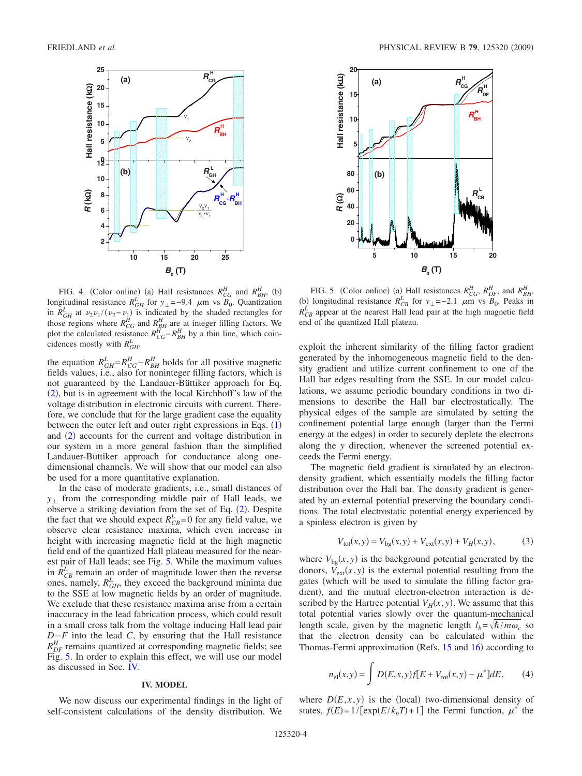<span id="page-3-0"></span>

FIG. 4. (Color online) (a) Hall resistances  $R_{CG}^H$  and  $R_{BH}^H$ , (b) longitudinal resistance  $R_{GH}^L$  for  $y_\perp = -9.4$   $\mu$ m vs  $B_0$ . Quantization in  $R_{GH}^L$  at  $\nu_2\nu_1/(\nu_2-\nu_1)$  is indicated by the shaded rectangles for those regions where  $R_{CG}^H$  and  $R_{BH}^H$  are at integer filling factors. We plot the calculated resistance  $R_{CG}^H - R_{BH}^H$  by a thin line, which coincidences mostly with  $R_{GH}^L$ .

the equation  $R_{GH}^L = R_{CG}^H - R_{BH}^H$  holds for all positive magnetic fields values, i.e., also for noninteger filling factors, which is not guaranteed by the Landauer-Büttiker approach for Eq. ([2](#page-1-1)), but is in agreement with the local Kirchhoff's law of the voltage distribution in electronic circuits with current. Therefore, we conclude that for the large gradient case the equality between the outer left and outer right expressions in Eqs.  $(1)$  $(1)$  $(1)$ and ([2](#page-1-1)) accounts for the current and voltage distribution in our system in a more general fashion than the simplified Landauer-Büttiker approach for conductance along onedimensional channels. We will show that our model can also be used for a more quantitative explanation.

In the case of moderate gradients, i.e., small distances of  $y_{\perp}$  from the corresponding middle pair of Hall leads, we observe a striking deviation from the set of Eq. ([2](#page-1-1)). Despite the fact that we should expect  $R_{CB}^L$  =0 for any field value, we observe clear resistance maxima, which even increase in height with increasing magnetic field at the high magnetic field end of the quantized Hall plateau measured for the nearest pair of Hall leads; see Fig. [5.](#page-3-1) While the maximum values in  $\hat{R}_{CB}^L$  remain an order of magnitude lower then the reverse ones, namely,  $R_{GH}^L$ , they exceed the background minima due to the SSE at low magnetic fields by an order of magnitude. We exclude that these resistance maxima arise from a certain inaccuracy in the lead fabrication process, which could result in a small cross talk from the voltage inducing Hall lead pair *D*−*F* into the lead *C*, by ensuring that the Hall resistance  $R_{DF}^H$  remains quantized at corresponding magnetic fields; see Fig. [5.](#page-3-1) In order to explain this effect, we will use our model as discussed in Sec. [IV.](#page-3-2)

#### **IV. MODEL**

<span id="page-3-2"></span>We now discuss our experimental findings in the light of self-consistent calculations of the density distribution. We

<span id="page-3-1"></span>

FIG. 5. (Color online) (a) Hall resistances  $R_{CG}^H$ ,  $R_{DF}^H$ , and  $R_{BH}^H$ , (b) longitudinal resistance  $R_{CB}^L$  for  $y_\perp = -2.1$   $\mu$ m vs  $B_0$ . Peaks in  $R_{CB}^L$  appear at the nearest Hall lead pair at the high magnetic field end of the quantized Hall plateau.

exploit the inherent similarity of the filling factor gradient generated by the inhomogeneous magnetic field to the density gradient and utilize current confinement to one of the Hall bar edges resulting from the SSE. In our model calculations, we assume periodic boundary conditions in two dimensions to describe the Hall bar electrostatically. The physical edges of the sample are simulated by setting the confinement potential large enough (larger than the Fermi energy at the edges) in order to securely deplete the electrons along the *y* direction, whenever the screened potential exceeds the Fermi energy.

The magnetic field gradient is simulated by an electrondensity gradient, which essentially models the filling factor distribution over the Hall bar. The density gradient is generated by an external potential preserving the boundary conditions. The total electrostatic potential energy experienced by a spinless electron is given by

$$
V_{\text{tot}}(x, y) = V_{\text{bg}}(x, y) + V_{\text{ext}}(x, y) + V_H(x, y), \tag{3}
$$

<span id="page-3-3"></span>where  $V_{bg}(x, y)$  is the background potential generated by the donors,  $\overline{V}_{ext}(x, y)$  is the external potential resulting from the gates (which will be used to simulate the filling factor gradient), and the mutual electron-electron interaction is described by the Hartree potential  $V_H(x, y)$ . We assume that this total potential varies slowly over the quantum-mechanical length scale, given by the magnetic length  $l_b = \sqrt{\hbar/m\omega_c}$  so that the electron density can be calculated within the Thomas-Fermi approximation (Refs. [15](#page-6-16) and [16](#page-6-17)) according to

$$
n_{\rm el}(x, y) = \int D(E, x, y) f[E + V_{\rm tot}(x, y) - \mu^*] dE, \qquad (4)
$$

<span id="page-3-4"></span>where  $D(E, x, y)$  is the (local) two-dimensional density of states,  $f(E) = 1/[\exp(E/k_bT) + 1]$  the Fermi function,  $\mu^*$  the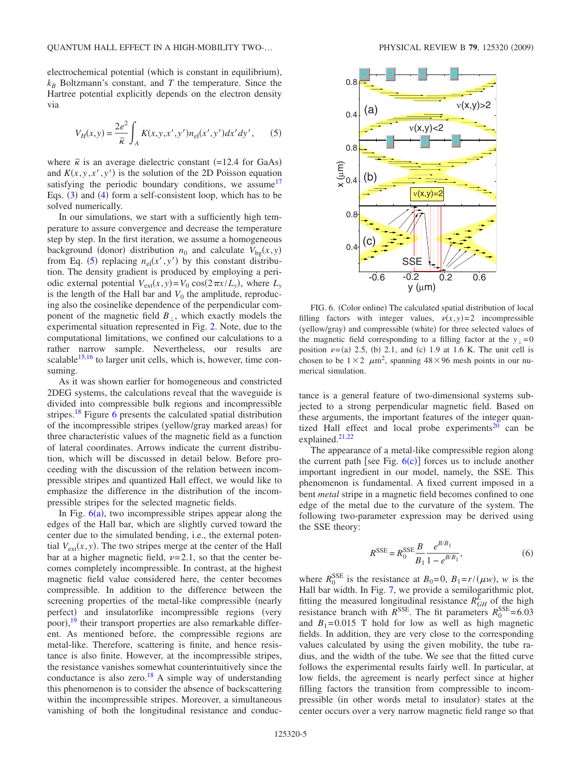electrochemical potential (which is constant in equilibrium),  $k_B$  Boltzmann's constant, and *T* the temperature. Since the Hartree potential explicitly depends on the electron density via

$$
V_H(x, y) = \frac{2e^2}{\bar{\kappa}} \int_A K(x, y, x', y') n_{\rm el}(x', y') dx' dy',
$$
 (5)

<span id="page-4-0"></span>where  $\bar{\kappa}$  is an average dielectric constant (=12.4 for GaAs) and  $K(x, y, x', y')$  is the solution of the 2D Poisson equation satisfying the periodic boundary conditions, we assume  $17$ Eqs.  $(3)$  $(3)$  $(3)$  and  $(4)$  $(4)$  $(4)$  form a self-consistent loop, which has to be solved numerically.

In our simulations, we start with a sufficiently high temperature to assure convergence and decrease the temperature step by step. In the first iteration, we assume a homogeneous background (donor) distribution  $n_0$  and calculate  $V_{bg}(x, y)$ from Eq. ([5](#page-4-0)) replacing  $n_{el}(x', y')$  by this constant distribution. The density gradient is produced by employing a periodic external potential  $V_{ext}(x, y) = V_0 \cos(2\pi x/L_y)$ , where  $L_y$ is the length of the Hall bar and  $V_0$  the amplitude, reproducing also the cosinelike dependence of the perpendicular component of the magnetic field  $B_{\perp}$ , which exactly models the experimental situation represented in Fig. [2.](#page-2-0) Note, due to the computational limitations, we confined our calculations to a rather narrow sample. Nevertheless, our results are scalable<sup>15,[16](#page-6-17)</sup> to larger unit cells, which is, however, time consuming.

As it was shown earlier for homogeneous and constricted 2DEG systems, the calculations reveal that the waveguide is divided into compressible bulk regions and incompressible stripes.<sup>18</sup> Figure [6](#page-4-1) presents the calculated spatial distribution of the incompressible stripes (yellow/gray marked areas) for three characteristic values of the magnetic field as a function of lateral coordinates. Arrows indicate the current distribution, which will be discussed in detail below. Before proceeding with the discussion of the relation between incompressible stripes and quantized Hall effect, we would like to emphasize the difference in the distribution of the incompressible stripes for the selected magnetic fields.

In Fig.  $6(a)$  $6(a)$ , two incompressible stripes appear along the edges of the Hall bar, which are slightly curved toward the center due to the simulated bending, i.e., the external potential  $V_{ext}(x, y)$ . The two stripes merge at the center of the Hall bar at a higher magnetic field,  $\nu$ =2.1, so that the center becomes completely incompressible. In contrast, at the highest magnetic field value considered here, the center becomes compressible. In addition to the difference between the screening properties of the metal-like compressible (nearly perfect) and insulatorlike incompressible regions (very poor),<sup>[19](#page-6-20)</sup> their transport properties are also remarkable different. As mentioned before, the compressible regions are metal-like. Therefore, scattering is finite, and hence resistance is also finite. However, at the incompressible stripes, the resistance vanishes somewhat counterintuitively since the conductance is also zero.<sup>18</sup> A simple way of understanding this phenomenon is to consider the absence of backscattering within the incompressible stripes. Moreover, a simultaneous vanishing of both the longitudinal resistance and conduc-

<span id="page-4-1"></span>

FIG. 6. (Color online) The calculated spatial distribution of local filling factors with integer values,  $v(x,y)=2$  incompressible (yellow/gray) and compressible (white) for three selected values of the magnetic field corresponding to a filling factor at the  $y_1 = 0$ position  $\nu$ =(a) 2.5, (b) 2.1, and (c) 1.9 at 1.6 K. The unit cell is chosen to be  $1\times2 \mu m^2$ , spanning  $48\times96$  mesh points in our numerical simulation.

tance is a general feature of two-dimensional systems subjected to a strong perpendicular magnetic field. Based on these arguments, the important features of the integer quantized Hall effect and local probe experiments<sup>20</sup> can be explained.<sup>21[,22](#page-6-23)</sup>

The appearance of a metal-like compressible region along the current path [see Fig.  $6(c)$  $6(c)$ ] forces us to include another important ingredient in our model, namely, the SSE. This phenomenon is fundamental. A fixed current imposed in a bent *metal* stripe in a magnetic field becomes confined to one edge of the metal due to the curvature of the system. The following two-parameter expression may be derived using the SSE theory:

$$
R^{\text{SSE}} = R_0^{\text{SSE}} \frac{B}{B_1} \frac{e^{B/B_1}}{1 - e^{B/B_1}},\tag{6}
$$

where  $R_0^{\text{SSE}}$  is the resistance at  $B_0=0$ ,  $B_1=r/(\mu w)$ , w is the Hall bar width. In Fig. [7,](#page-5-0) we provide a semilogarithmic plot, fitting the measured longitudinal resistance  $R_{GH}^L$  of the high resistance branch with  $R<sup>SSE</sup>$ . The fit parameters  $R_0<sup>SSE</sup>=6.03$ and  $B_1=0.015$  T hold for low as well as high magnetic fields. In addition, they are very close to the corresponding values calculated by using the given mobility, the tube radius, and the width of the tube. We see that the fitted curve follows the experimental results fairly well. In particular, at low fields, the agreement is nearly perfect since at higher filling factors the transition from compressible to incompressible (in other words metal to insulator) states at the center occurs over a very narrow magnetic field range so that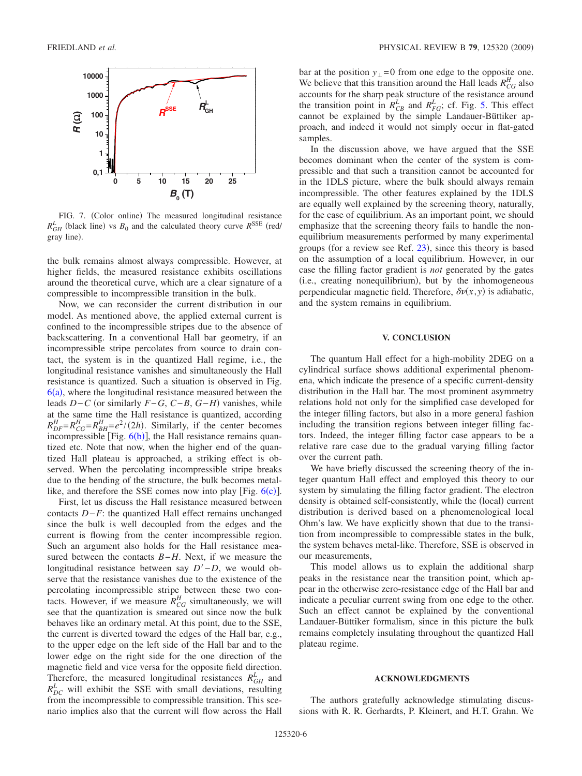<span id="page-5-0"></span>

FIG. 7. (Color online) The measured longitudinal resistance  $R_{GH}^L$  (black line) vs  $B_0$  and the calculated theory curve  $R^{\text{SSE}}$  (red/ gray line).

the bulk remains almost always compressible. However, at higher fields, the measured resistance exhibits oscillations around the theoretical curve, which are a clear signature of a compressible to incompressible transition in the bulk.

Now, we can reconsider the current distribution in our model. As mentioned above, the applied external current is confined to the incompressible stripes due to the absence of backscattering. In a conventional Hall bar geometry, if an incompressible stripe percolates from source to drain contact, the system is in the quantized Hall regime, i.e., the longitudinal resistance vanishes and simultaneously the Hall resistance is quantized. Such a situation is observed in Fig.  $6(a)$  $6(a)$ , where the longitudinal resistance measured between the leads *D*−*C* or similarly *F*−*G*, *C*−*B*, *G*−*H*- vanishes, while at the same time the Hall resistance is quantized, according  $R_{DF}^H = R_{CG}^H = R_{BH}^H = e^2/(2h)$ . Similarly, if the center becomes incompressible [Fig.  $6(b)$  $6(b)$ ], the Hall resistance remains quantized etc. Note that now, when the higher end of the quantized Hall plateau is approached, a striking effect is observed. When the percolating incompressible stripe breaks due to the bending of the structure, the bulk becomes metallike, and therefore the SSE comes now into play [Fig.  $6(c)$  $6(c)$ ].

First, let us discuss the Hall resistance measured between contacts *D*−*F*: the quantized Hall effect remains unchanged since the bulk is well decoupled from the edges and the current is flowing from the center incompressible region. Such an argument also holds for the Hall resistance measured between the contacts *B*−*H*. Next, if we measure the longitudinal resistance between say *D*−*D*, we would observe that the resistance vanishes due to the existence of the percolating incompressible stripe between these two contacts. However, if we measure  $R_{CG}^H$  simultaneously, we will see that the quantization is smeared out since now the bulk behaves like an ordinary metal. At this point, due to the SSE, the current is diverted toward the edges of the Hall bar, e.g., to the upper edge on the left side of the Hall bar and to the lower edge on the right side for the one direction of the magnetic field and vice versa for the opposite field direction. Therefore, the measured longitudinal resistances  $R_{GH}^L$  and  $R_{DC}^L$  will exhibit the SSE with small deviations, resulting from the incompressible to compressible transition. This scenario implies also that the current will flow across the Hall bar at the position  $y_{\perp} = 0$  from one edge to the opposite one. We believe that this transition around the Hall leads  $R_{CG}^H$  also accounts for the sharp peak structure of the resistance around the transition point in  $R_{CB}^L$  and  $R_{FG}^L$ ; cf. Fig. [5.](#page-3-1) This effect cannot be explained by the simple Landauer-Büttiker approach, and indeed it would not simply occur in flat-gated samples.

In the discussion above, we have argued that the SSE becomes dominant when the center of the system is compressible and that such a transition cannot be accounted for in the 1DLS picture, where the bulk should always remain incompressible. The other features explained by the 1DLS are equally well explained by the screening theory, naturally, for the case of equilibrium. As an important point, we should emphasize that the screening theory fails to handle the nonequilibrium measurements performed by many experimental groups (for a review see Ref. [23](#page-6-24)), since this theory is based on the assumption of a local equilibrium. However, in our case the filling factor gradient is *not* generated by the gates (i.e., creating nonequilibrium), but by the inhomogeneous perpendicular magnetic field. Therefore,  $\delta v(x, y)$  is adiabatic, and the system remains in equilibrium.

# **V. CONCLUSION**

The quantum Hall effect for a high-mobility 2DEG on a cylindrical surface shows additional experimental phenomena, which indicate the presence of a specific current-density distribution in the Hall bar. The most prominent asymmetry relations hold not only for the simplified case developed for the integer filling factors, but also in a more general fashion including the transition regions between integer filling factors. Indeed, the integer filling factor case appears to be a relative rare case due to the gradual varying filling factor over the current path.

We have briefly discussed the screening theory of the integer quantum Hall effect and employed this theory to our system by simulating the filling factor gradient. The electron density is obtained self-consistently, while the (local) current distribution is derived based on a phenomenological local Ohm's law. We have explicitly shown that due to the transition from incompressible to compressible states in the bulk, the system behaves metal-like. Therefore, SSE is observed in our measurements,

This model allows us to explain the additional sharp peaks in the resistance near the transition point, which appear in the otherwise zero-resistance edge of the Hall bar and indicate a peculiar current swing from one edge to the other. Such an effect cannot be explained by the conventional Landauer-Büttiker formalism, since in this picture the bulk remains completely insulating throughout the quantized Hall plateau regime.

# **ACKNOWLEDGMENTS**

The authors gratefully acknowledge stimulating discussions with R. R. Gerhardts, P. Kleinert, and H.T. Grahn. We